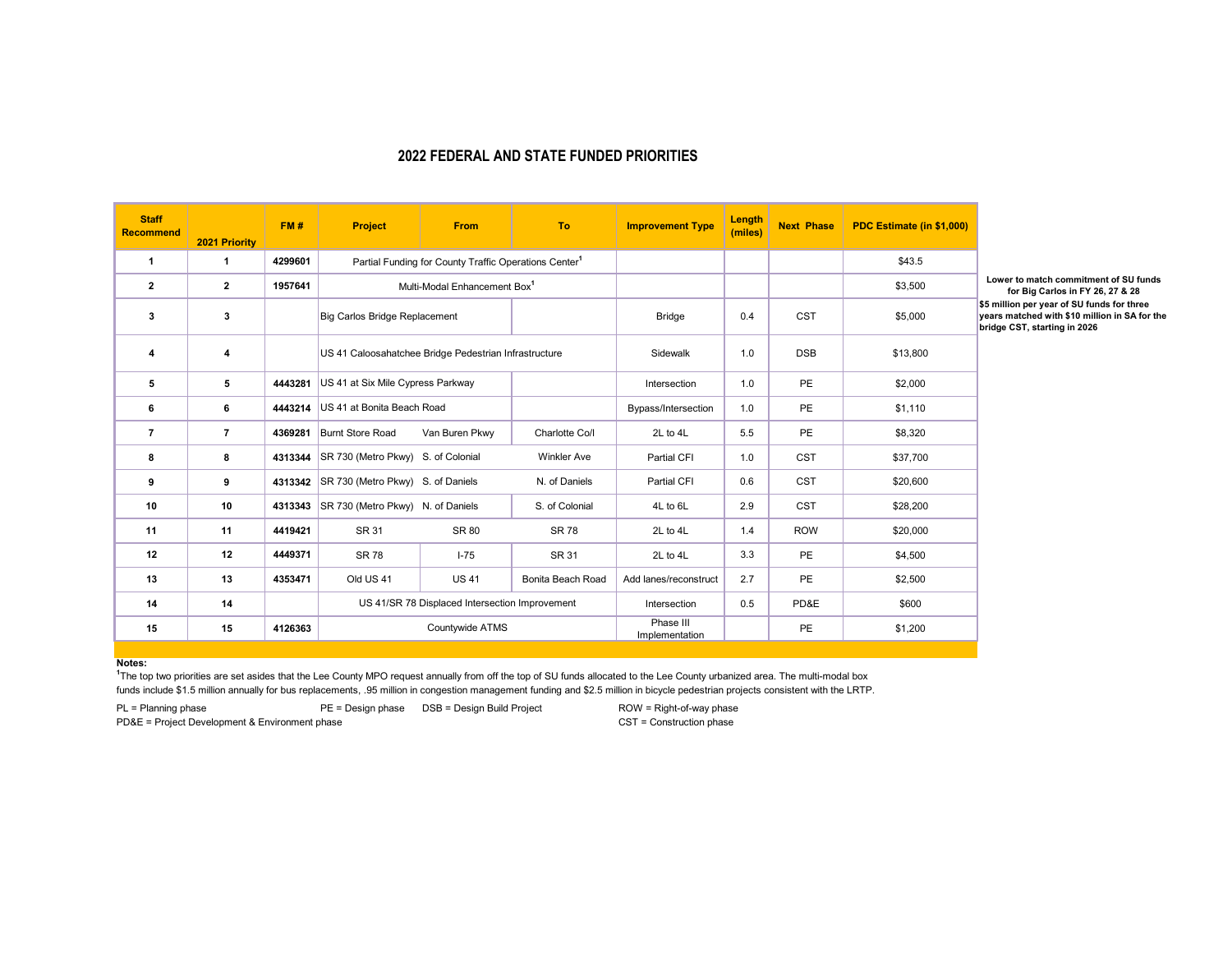## **2022 FEDERAL AND STATE FUNDED PRIORITIES**

| <b>Staff</b><br><b>Recommend</b> | 2021 Priority  | FM#     | <b>Project</b>                                                    | <b>From</b>    | <b>To</b>          | <b>Improvement Type</b>     | Length<br>(miles) | <b>Next Phase</b> | PDC Estimate (in \$1,000) |                                                                                                                            |
|----------------------------------|----------------|---------|-------------------------------------------------------------------|----------------|--------------------|-----------------------------|-------------------|-------------------|---------------------------|----------------------------------------------------------------------------------------------------------------------------|
| 1                                | $\mathbf 1$    | 4299601 | Partial Funding for County Traffic Operations Center <sup>1</sup> |                |                    |                             |                   |                   | \$43.5                    |                                                                                                                            |
| $\mathbf{2}$                     | $\mathbf{2}$   | 1957641 | Multi-Modal Enhancement Box <sup>1</sup>                          |                |                    |                             |                   |                   | \$3,500                   | Lower to match commitment of SU funds<br>for Big Carlos in FY 26, 27 & 28                                                  |
| 3                                | 3              |         | Big Carlos Bridge Replacement                                     |                |                    | <b>Bridge</b>               | 0.4               | <b>CST</b>        | \$5,000                   | \$5 million per year of SU funds for three<br>years matched with \$10 million in SA for th<br>bridge CST, starting in 2026 |
| 4                                | 4              |         | US 41 Caloosahatchee Bridge Pedestrian Infrastructure             |                |                    | Sidewalk                    | 1.0               | <b>DSB</b>        | \$13,800                  |                                                                                                                            |
| 5                                | 5              | 4443281 | US 41 at Six Mile Cypress Parkway                                 |                |                    | Intersection                | 1.0               | PE                | \$2,000                   |                                                                                                                            |
| 6                                | 6              | 4443214 | US 41 at Bonita Beach Road                                        |                |                    | Bypass/Intersection         | 1.0               | PE                | \$1,110                   |                                                                                                                            |
| $\overline{7}$                   | $\overline{7}$ | 4369281 | Burnt Store Road                                                  | Van Buren Pkwy | Charlotte Co/I     | 2L to 4L                    | 5.5               | PE                | \$8,320                   |                                                                                                                            |
| 8                                | 8              | 4313344 | SR 730 (Metro Pkwy) S. of Colonial                                |                | <b>Winkler Ave</b> | Partial CFI                 | 1.0               | <b>CST</b>        | \$37,700                  |                                                                                                                            |
| 9                                | 9              |         | 4313342 SR 730 (Metro Pkwy) S. of Daniels                         |                | N. of Daniels      | Partial CFI                 | 0.6               | <b>CST</b>        | \$20,600                  |                                                                                                                            |
| 10                               | 10             | 4313343 | SR 730 (Metro Pkwy) N. of Daniels                                 |                | S. of Colonial     | 4L to 6L                    | 2.9               | <b>CST</b>        | \$28,200                  |                                                                                                                            |
| 11                               | 11             | 4419421 | SR 31                                                             | SR 80          | <b>SR 78</b>       | 2L to 4L                    | 1.4               | <b>ROW</b>        | \$20,000                  |                                                                                                                            |
| 12                               | 12             | 4449371 | <b>SR78</b>                                                       | $1 - 75$       | SR 31              | 2L to 4L                    | 3.3               | PE                | \$4,500                   |                                                                                                                            |
| 13                               | 13             | 4353471 | Old US 41                                                         | <b>US41</b>    | Bonita Beach Road  | Add lanes/reconstruct       | 2.7               | PE                | \$2,500                   |                                                                                                                            |
| 14                               | 14             |         | US 41/SR 78 Displaced Intersection Improvement                    |                |                    | Intersection                | 0.5               | PD&E              | \$600                     |                                                                                                                            |
| 15                               | 15             | 4126363 | Countywide ATMS                                                   |                |                    | Phase III<br>Implementation |                   | PE                | \$1,200                   |                                                                                                                            |

**Notes:**

funds include \$1.5 million annually for bus replacements, .95 million in congestion management funding and \$2.5 million in bicycle pedestrian projects consistent with the LRTP. **1** The top two priorities are set asides that the Lee County MPO request annually from off the top of SU funds allocated to the Lee County urbanized area. The multi-modal box

PD&E = Project Development & Environment phase

PL = Planning phase **PE = Design phase** DSB = Design Build Project ROW = Right-of-way phase<br>PD&E = Project Development & Environment phase **PD&E** = CST = Construction phase

**for Big Carlos in FY 26, 27 & 28 \$5 million per year of SU funds for three years matched with \$10 million in SA for the T**, starting in 2026